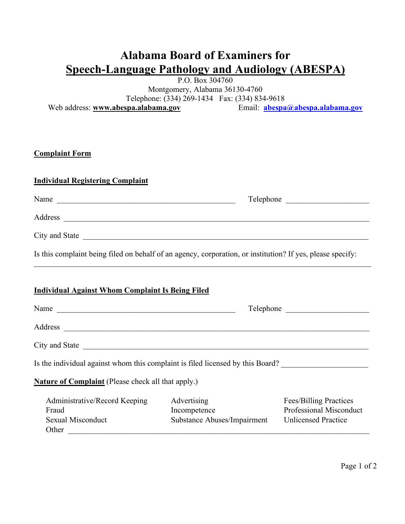## **Alabama Board of Examiners for Speech-Language Pathology and Audiology (ABESPA)**

P.O. Box 304760

Montgomery, Alabama 36130-4760 Telephone: (334) 269-1434 Fax: (334) 834-9618 Web address: **www.abespa.alabama.gov** Email: **abespa@abespa.alabama.gov**

### **[Complaint Form](mailto:abespa@abespa.alabama.gov)**

Other  $\Box$ 

# **[Ind](mailto:abespa@abespa.alabama.gov)ividual Registering Complaint** Name Telephone Address \_\_\_\_\_\_\_\_\_\_\_\_\_\_\_\_\_\_\_\_\_\_\_\_\_\_\_\_\_\_\_\_\_\_\_\_\_\_\_\_\_\_\_\_\_\_\_\_\_\_\_\_\_\_\_\_\_\_\_\_\_\_\_\_\_\_\_\_\_\_\_\_\_\_\_\_\_ City and State \_\_\_\_\_\_\_\_\_\_\_\_\_\_\_\_\_\_\_\_\_\_\_\_\_\_\_\_\_\_\_\_\_\_\_\_\_\_\_\_\_\_\_\_\_\_\_\_\_\_\_\_\_\_\_\_\_\_\_\_\_\_\_\_\_\_\_\_\_\_\_\_ Is this complaint being filed on behalf of an agency, corporation, or institution? If yes, please specify:  $\_$  , and the contribution of the contribution of the contribution of the contribution of  $\mathcal{L}_\text{max}$ **Individual Against Whom Complaint Is Being Filed** Name \_\_\_\_\_\_\_\_\_\_\_\_\_\_\_\_\_\_\_\_\_\_\_\_\_\_\_\_\_\_\_\_\_\_\_\_\_\_\_\_\_\_\_\_\_ Telephone \_\_\_\_\_\_\_\_\_\_\_\_\_\_\_\_\_\_\_\_\_ Address \_\_\_\_\_\_\_\_\_\_\_\_\_\_\_\_\_\_\_\_\_\_\_\_\_\_\_\_\_\_\_\_\_\_\_\_\_\_\_\_\_\_\_\_\_\_\_\_\_\_\_\_\_\_\_\_\_\_\_\_\_\_\_\_\_\_\_\_\_\_\_\_\_\_\_\_\_ City and State \_\_\_\_\_\_\_\_\_\_\_\_\_\_\_\_\_\_\_\_\_\_\_\_\_\_\_\_\_\_\_\_\_\_\_\_\_\_\_\_\_\_\_\_\_\_\_\_\_\_\_\_\_\_\_\_\_\_\_\_\_\_\_\_\_\_\_\_\_\_\_\_ Is the individual against whom this complaint is filed licensed by this Board? **Nature of Complaint** (Please check all that apply.) Administrative/Record Keeping Advertising Fees/Billing Practices Fraud Incompetence Professional Misconduct

Sexual Misconduct Substance Abuses/Impairment Unlicensed Practice

Page 1 of 2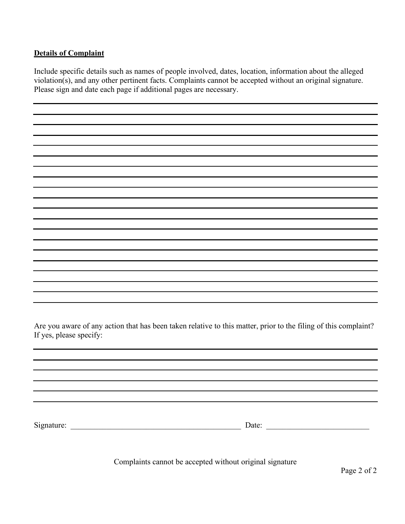#### **Details of Complaint**

Include specific details such as names of people involved, dates, location, information about the alleged violation(s), and any other pertinent facts. Complaints cannot be accepted without an original signature. Please sign and date each page if additional pages are necessary.

Are you aware of any action that has been taken relative to this matter, prior to the filing of this complaint? If yes, please specify:

Signature: \_\_\_\_\_\_\_\_\_\_\_\_\_\_\_\_\_\_\_\_\_\_\_\_\_\_\_\_\_\_\_\_\_\_\_\_\_\_\_\_\_\_\_ Date: \_\_\_\_\_\_\_\_\_\_\_\_\_\_\_\_\_\_\_\_\_\_\_\_\_\_

Complaints cannot be accepted without original signature